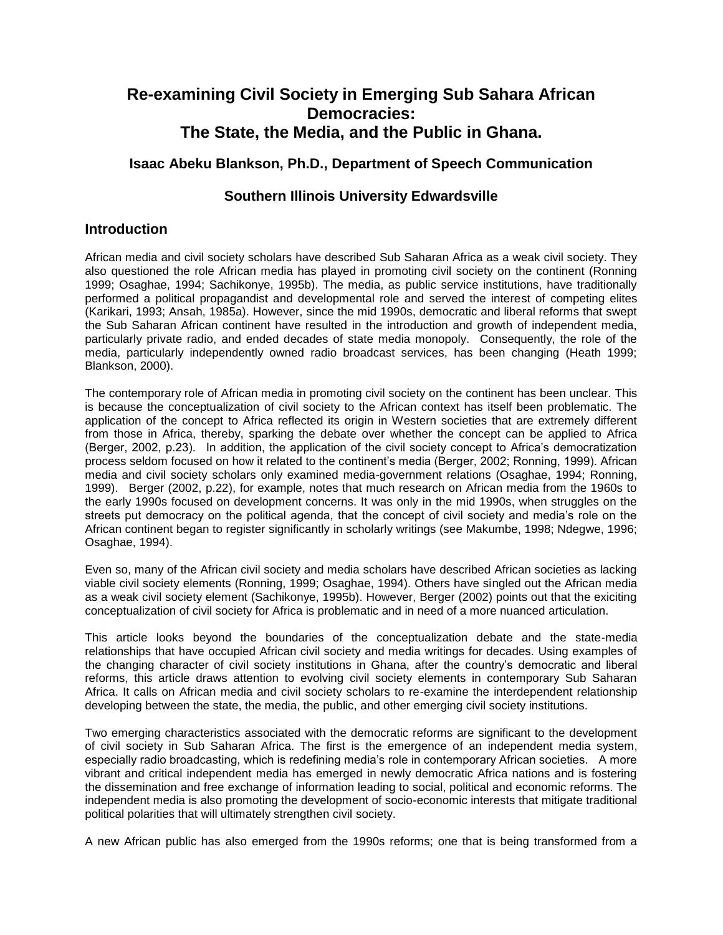# **Re-examining Civil Society in Emerging Sub Sahara African Democracies: The State, the Media, and the Public in Ghana.**

## **Isaac Abeku Blankson, Ph.D., Department of Speech Communication**

## **Southern Illinois University Edwardsville**

#### **Introduction**

African media and civil society scholars have described Sub Saharan Africa as a weak civil society. They also questioned the role African media has played in promoting civil society on the continent (Ronning 1999; Osaghae, 1994; Sachikonye, 1995b). The media, as public service institutions, have traditionally performed a political propagandist and developmental role and served the interest of competing elites (Karikari, 1993; Ansah, 1985a). However, since the mid 1990s, democratic and liberal reforms that swept the Sub Saharan African continent have resulted in the introduction and growth of independent media, particularly private radio, and ended decades of state media monopoly. Consequently, the role of the media, particularly independently owned radio broadcast services, has been changing (Heath 1999; Blankson, 2000).

The contemporary role of African media in promoting civil society on the continent has been unclear. This is because the conceptualization of civil society to the African context has itself been problematic. The application of the concept to Africa reflected its origin in Western societies that are extremely different from those in Africa, thereby, sparking the debate over whether the concept can be applied to Africa (Berger, 2002, p.23). In addition, the application of the civil society concept to Africa's democratization process seldom focused on how it related to the continent's media (Berger, 2002; Ronning, 1999). African media and civil society scholars only examined media-government relations (Osaghae, 1994; Ronning, 1999). Berger (2002, p.22), for example, notes that much research on African media from the 1960s to the early 1990s focused on development concerns. It was only in the mid 1990s, when struggles on the streets put democracy on the political agenda, that the concept of civil society and media's role on the African continent began to register significantly in scholarly writings (see Makumbe, 1998; Ndegwe, 1996; Osaghae, 1994).

Even so, many of the African civil society and media scholars have described African societies as lacking viable civil society elements (Ronning, 1999; Osaghae, 1994). Others have singled out the African media as a weak civil society element (Sachikonye, 1995b). However, Berger (2002) points out that the exiciting conceptualization of civil society for Africa is problematic and in need of a more nuanced articulation.

This article looks beyond the boundaries of the conceptualization debate and the state-media relationships that have occupied African civil society and media writings for decades. Using examples of the changing character of civil society institutions in Ghana, after the country's democratic and liberal reforms, this article draws attention to evolving civil society elements in contemporary Sub Saharan Africa. It calls on African media and civil society scholars to re-examine the interdependent relationship developing between the state, the media, the public, and other emerging civil society institutions.

Two emerging characteristics associated with the democratic reforms are significant to the development of civil society in Sub Saharan Africa. The first is the emergence of an independent media system, especially radio broadcasting, which is redefining media's role in contemporary African societies. A more vibrant and critical independent media has emerged in newly democratic Africa nations and is fostering the dissemination and free exchange of information leading to social, political and economic reforms. The independent media is also promoting the development of socio-economic interests that mitigate traditional political polarities that will ultimately strengthen civil society.

A new African public has also emerged from the 1990s reforms; one that is being transformed from a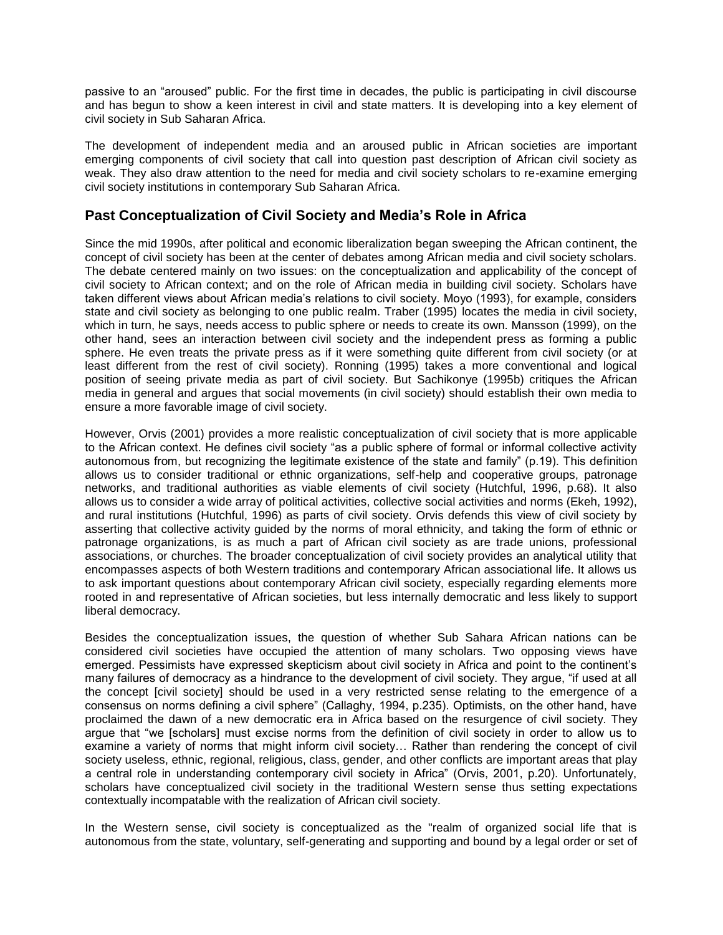passive to an "aroused" public. For the first time in decades, the public is participating in civil discourse and has begun to show a keen interest in civil and state matters. It is developing into a key element of civil society in Sub Saharan Africa.

The development of independent media and an aroused public in African societies are important emerging components of civil society that call into question past description of African civil society as weak. They also draw attention to the need for media and civil society scholars to re-examine emerging civil society institutions in contemporary Sub Saharan Africa.

### **Past Conceptualization of Civil Society and Media's Role in Africa**

Since the mid 1990s, after political and economic liberalization began sweeping the African continent, the concept of civil society has been at the center of debates among African media and civil society scholars. The debate centered mainly on two issues: on the conceptualization and applicability of the concept of civil society to African context; and on the role of African media in building civil society. Scholars have taken different views about African media's relations to civil society. Moyo (1993), for example, considers state and civil society as belonging to one public realm. Traber (1995) locates the media in civil society, which in turn, he says, needs access to public sphere or needs to create its own. Mansson (1999), on the other hand, sees an interaction between civil society and the independent press as forming a public sphere. He even treats the private press as if it were something quite different from civil society (or at least different from the rest of civil society). Ronning (1995) takes a more conventional and logical position of seeing private media as part of civil society. But Sachikonye (1995b) critiques the African media in general and argues that social movements (in civil society) should establish their own media to ensure a more favorable image of civil society.

However, Orvis (2001) provides a more realistic conceptualization of civil society that is more applicable to the African context. He defines civil society "as a public sphere of formal or informal collective activity autonomous from, but recognizing the legitimate existence of the state and family" (p.19). This definition allows us to consider traditional or ethnic organizations, self-help and cooperative groups, patronage networks, and traditional authorities as viable elements of civil society (Hutchful, 1996, p.68). It also allows us to consider a wide array of political activities, collective social activities and norms (Ekeh, 1992), and rural institutions (Hutchful, 1996) as parts of civil society. Orvis defends this view of civil society by asserting that collective activity guided by the norms of moral ethnicity, and taking the form of ethnic or patronage organizations, is as much a part of African civil society as are trade unions, professional associations, or churches. The broader conceptualization of civil society provides an analytical utility that encompasses aspects of both Western traditions and contemporary African associational life. It allows us to ask important questions about contemporary African civil society, especially regarding elements more rooted in and representative of African societies, but less internally democratic and less likely to support liberal democracy.

Besides the conceptualization issues, the question of whether Sub Sahara African nations can be considered civil societies have occupied the attention of many scholars. Two opposing views have emerged. Pessimists have expressed skepticism about civil society in Africa and point to the continent's many failures of democracy as a hindrance to the development of civil society. They argue, "if used at all the concept [civil society] should be used in a very restricted sense relating to the emergence of a consensus on norms defining a civil sphere" (Callaghy, 1994, p.235). Optimists, on the other hand, have proclaimed the dawn of a new democratic era in Africa based on the resurgence of civil society. They argue that "we [scholars] must excise norms from the definition of civil society in order to allow us to examine a variety of norms that might inform civil society… Rather than rendering the concept of civil society useless, ethnic, regional, religious, class, gender, and other conflicts are important areas that play a central role in understanding contemporary civil society in Africa" (Orvis, 2001, p.20). Unfortunately, scholars have conceptualized civil society in the traditional Western sense thus setting expectations contextually incompatable with the realization of African civil society.

In the Western sense, civil society is conceptualized as the "realm of organized social life that is autonomous from the state, voluntary, self-generating and supporting and bound by a legal order or set of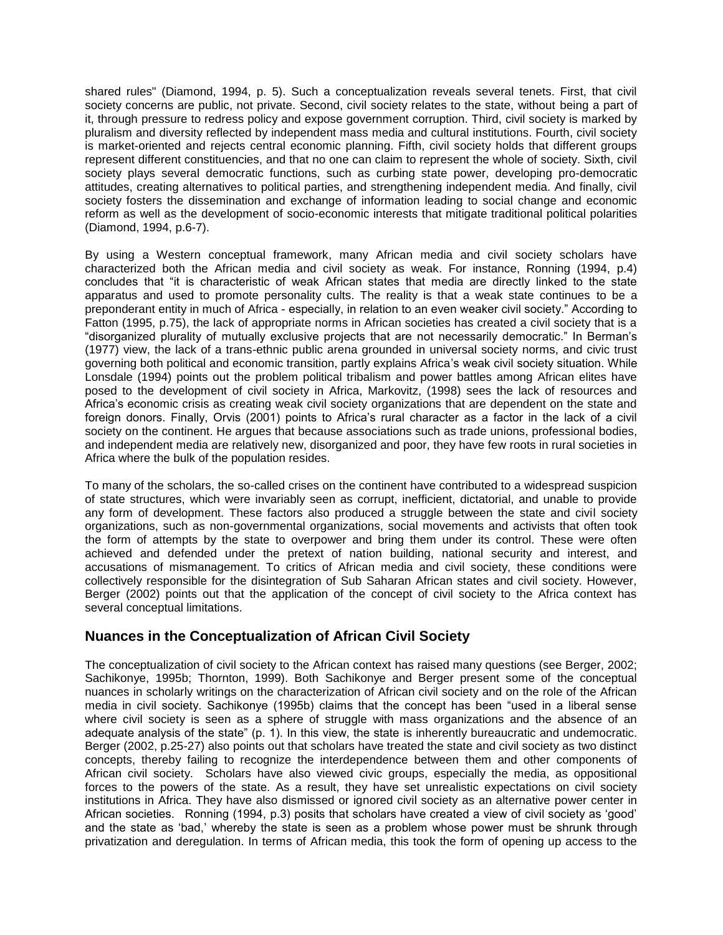shared rules" (Diamond, 1994, p. 5). Such a conceptualization reveals several tenets. First, that civil society concerns are public, not private. Second, civil society relates to the state, without being a part of it, through pressure to redress policy and expose government corruption. Third, civil society is marked by pluralism and diversity reflected by independent mass media and cultural institutions. Fourth, civil society is market-oriented and rejects central economic planning. Fifth, civil society holds that different groups represent different constituencies, and that no one can claim to represent the whole of society. Sixth, civil society plays several democratic functions, such as curbing state power, developing pro-democratic attitudes, creating alternatives to political parties, and strengthening independent media. And finally, civil society fosters the dissemination and exchange of information leading to social change and economic reform as well as the development of socio-economic interests that mitigate traditional political polarities (Diamond, 1994, p.6-7).

By using a Western conceptual framework, many African media and civil society scholars have characterized both the African media and civil society as weak. For instance, Ronning (1994, p.4) concludes that "it is characteristic of weak African states that media are directly linked to the state apparatus and used to promote personality cults. The reality is that a weak state continues to be a preponderant entity in much of Africa - especially, in relation to an even weaker civil society." According to Fatton (1995, p.75), the lack of appropriate norms in African societies has created a civil society that is a "disorganized plurality of mutually exclusive projects that are not necessarily democratic." In Berman's (1977) view, the lack of a trans-ethnic public arena grounded in universal society norms, and civic trust governing both political and economic transition, partly explains Africa's weak civil society situation. While Lonsdale (1994) points out the problem political tribalism and power battles among African elites have posed to the development of civil society in Africa, Markovitz, (1998) sees the lack of resources and Africa's economic crisis as creating weak civil society organizations that are dependent on the state and foreign donors. Finally, Orvis (2001) points to Africa's rural character as a factor in the lack of a civil society on the continent. He argues that because associations such as trade unions, professional bodies, and independent media are relatively new, disorganized and poor, they have few roots in rural societies in Africa where the bulk of the population resides.

To many of the scholars, the so-called crises on the continent have contributed to a widespread suspicion of state structures, which were invariably seen as corrupt, inefficient, dictatorial, and unable to provide any form of development. These factors also produced a struggle between the state and civil society organizations, such as non-governmental organizations, social movements and activists that often took the form of attempts by the state to overpower and bring them under its control. These were often achieved and defended under the pretext of nation building, national security and interest, and accusations of mismanagement. To critics of African media and civil society, these conditions were collectively responsible for the disintegration of Sub Saharan African states and civil society. However, Berger (2002) points out that the application of the concept of civil society to the Africa context has several conceptual limitations.

# **Nuances in the Conceptualization of African Civil Society**

The conceptualization of civil society to the African context has raised many questions (see Berger, 2002; Sachikonye, 1995b; Thornton, 1999). Both Sachikonye and Berger present some of the conceptual nuances in scholarly writings on the characterization of African civil society and on the role of the African media in civil society. Sachikonye (1995b) claims that the concept has been "used in a liberal sense where civil society is seen as a sphere of struggle with mass organizations and the absence of an adequate analysis of the state" (p. 1). In this view, the state is inherently bureaucratic and undemocratic. Berger (2002, p.25-27) also points out that scholars have treated the state and civil society as two distinct concepts, thereby failing to recognize the interdependence between them and other components of African civil society. Scholars have also viewed civic groups, especially the media, as oppositional forces to the powers of the state. As a result, they have set unrealistic expectations on civil society institutions in Africa. They have also dismissed or ignored civil society as an alternative power center in African societies. Ronning (1994, p.3) posits that scholars have created a view of civil society as 'good' and the state as 'bad,' whereby the state is seen as a problem whose power must be shrunk through privatization and deregulation. In terms of African media, this took the form of opening up access to the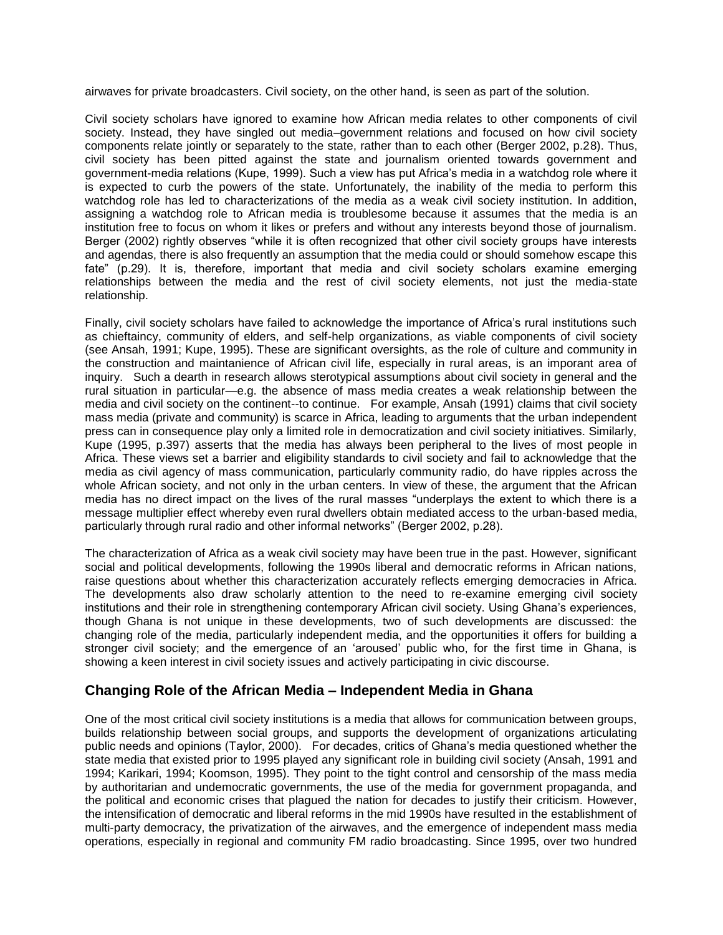airwaves for private broadcasters. Civil society, on the other hand, is seen as part of the solution.

Civil society scholars have ignored to examine how African media relates to other components of civil society. Instead, they have singled out media–government relations and focused on how civil society components relate jointly or separately to the state, rather than to each other (Berger 2002, p.28). Thus, civil society has been pitted against the state and journalism oriented towards government and government-media relations (Kupe, 1999). Such a view has put Africa's media in a watchdog role where it is expected to curb the powers of the state. Unfortunately, the inability of the media to perform this watchdog role has led to characterizations of the media as a weak civil society institution. In addition, assigning a watchdog role to African media is troublesome because it assumes that the media is an institution free to focus on whom it likes or prefers and without any interests beyond those of journalism. Berger (2002) rightly observes "while it is often recognized that other civil society groups have interests and agendas, there is also frequently an assumption that the media could or should somehow escape this fate" (p.29). It is, therefore, important that media and civil society scholars examine emerging relationships between the media and the rest of civil society elements, not just the media-state relationship.

Finally, civil society scholars have failed to acknowledge the importance of Africa's rural institutions such as chieftaincy, community of elders, and self-help organizations, as viable components of civil society (see Ansah, 1991; Kupe, 1995). These are significant oversights, as the role of culture and community in the construction and maintanience of African civil life, especially in rural areas, is an imporant area of inquiry. Such a dearth in research allows sterotypical assumptions about civil society in general and the rural situation in particular—e.g. the absence of mass media creates a weak relationship between the media and civil society on the continent--to continue. For example, Ansah (1991) claims that civil society mass media (private and community) is scarce in Africa, leading to arguments that the urban independent press can in consequence play only a limited role in democratization and civil society initiatives. Similarly, Kupe (1995, p.397) asserts that the media has always been peripheral to the lives of most people in Africa. These views set a barrier and eligibility standards to civil society and fail to acknowledge that the media as civil agency of mass communication, particularly community radio, do have ripples across the whole African society, and not only in the urban centers. In view of these, the argument that the African media has no direct impact on the lives of the rural masses "underplays the extent to which there is a message multiplier effect whereby even rural dwellers obtain mediated access to the urban-based media, particularly through rural radio and other informal networks" (Berger 2002, p.28).

The characterization of Africa as a weak civil society may have been true in the past. However, significant social and political developments, following the 1990s liberal and democratic reforms in African nations, raise questions about whether this characterization accurately reflects emerging democracies in Africa. The developments also draw scholarly attention to the need to re-examine emerging civil society institutions and their role in strengthening contemporary African civil society. Using Ghana's experiences, though Ghana is not unique in these developments, two of such developments are discussed: the changing role of the media, particularly independent media, and the opportunities it offers for building a stronger civil society; and the emergence of an 'aroused' public who, for the first time in Ghana, is showing a keen interest in civil society issues and actively participating in civic discourse.

#### **Changing Role of the African Media – Independent Media in Ghana**

One of the most critical civil society institutions is a media that allows for communication between groups, builds relationship between social groups, and supports the development of organizations articulating public needs and opinions (Taylor, 2000). For decades, critics of Ghana's media questioned whether the state media that existed prior to 1995 played any significant role in building civil society (Ansah, 1991 and 1994; Karikari, 1994; Koomson, 1995). They point to the tight control and censorship of the mass media by authoritarian and undemocratic governments, the use of the media for government propaganda, and the political and economic crises that plagued the nation for decades to justify their criticism. However, the intensification of democratic and liberal reforms in the mid 1990s have resulted in the establishment of multi-party democracy, the privatization of the airwaves, and the emergence of independent mass media operations, especially in regional and community FM radio broadcasting. Since 1995, over two hundred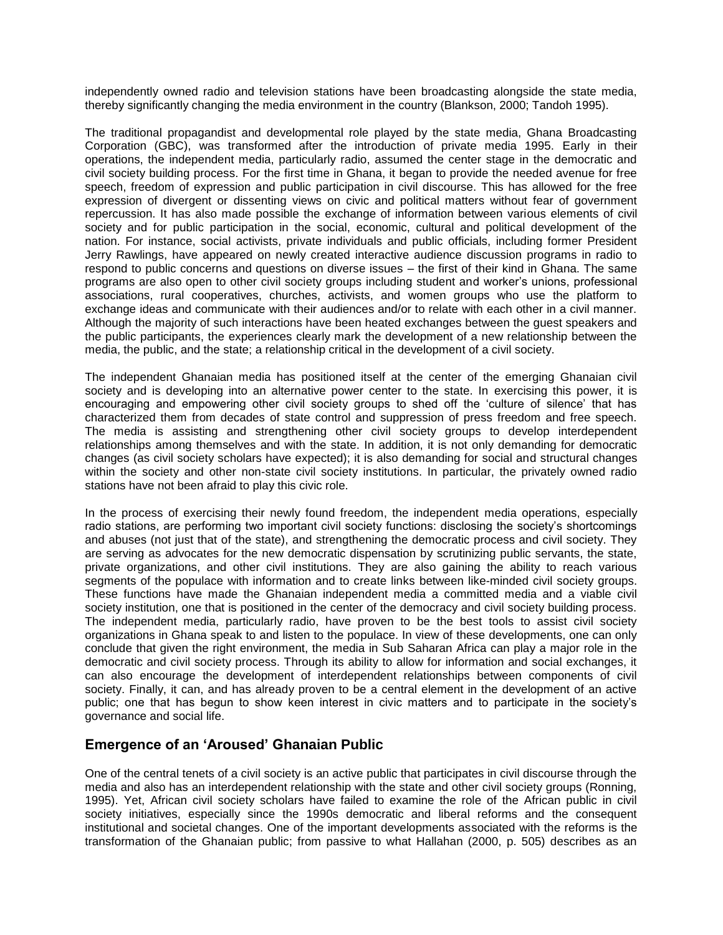independently owned radio and television stations have been broadcasting alongside the state media, thereby significantly changing the media environment in the country (Blankson, 2000; Tandoh 1995).

The traditional propagandist and developmental role played by the state media, Ghana Broadcasting Corporation (GBC), was transformed after the introduction of private media 1995. Early in their operations, the independent media, particularly radio, assumed the center stage in the democratic and civil society building process. For the first time in Ghana, it began to provide the needed avenue for free speech, freedom of expression and public participation in civil discourse. This has allowed for the free expression of divergent or dissenting views on civic and political matters without fear of government repercussion. It has also made possible the exchange of information between various elements of civil society and for public participation in the social, economic, cultural and political development of the nation. For instance, social activists, private individuals and public officials, including former President Jerry Rawlings, have appeared on newly created interactive audience discussion programs in radio to respond to public concerns and questions on diverse issues – the first of their kind in Ghana. The same programs are also open to other civil society groups including student and worker's unions, professional associations, rural cooperatives, churches, activists, and women groups who use the platform to exchange ideas and communicate with their audiences and/or to relate with each other in a civil manner. Although the majority of such interactions have been heated exchanges between the guest speakers and the public participants, the experiences clearly mark the development of a new relationship between the media, the public, and the state; a relationship critical in the development of a civil society.

The independent Ghanaian media has positioned itself at the center of the emerging Ghanaian civil society and is developing into an alternative power center to the state. In exercising this power, it is encouraging and empowering other civil society groups to shed off the 'culture of silence' that has characterized them from decades of state control and suppression of press freedom and free speech. The media is assisting and strengthening other civil society groups to develop interdependent relationships among themselves and with the state. In addition, it is not only demanding for democratic changes (as civil society scholars have expected); it is also demanding for social and structural changes within the society and other non-state civil society institutions. In particular, the privately owned radio stations have not been afraid to play this civic role.

In the process of exercising their newly found freedom, the independent media operations, especially radio stations, are performing two important civil society functions: disclosing the society's shortcomings and abuses (not just that of the state), and strengthening the democratic process and civil society. They are serving as advocates for the new democratic dispensation by scrutinizing public servants, the state, private organizations, and other civil institutions. They are also gaining the ability to reach various segments of the populace with information and to create links between like-minded civil society groups. These functions have made the Ghanaian independent media a committed media and a viable civil society institution, one that is positioned in the center of the democracy and civil society building process. The independent media, particularly radio, have proven to be the best tools to assist civil society organizations in Ghana speak to and listen to the populace. In view of these developments, one can only conclude that given the right environment, the media in Sub Saharan Africa can play a major role in the democratic and civil society process. Through its ability to allow for information and social exchanges, it can also encourage the development of interdependent relationships between components of civil society. Finally, it can, and has already proven to be a central element in the development of an active public; one that has begun to show keen interest in civic matters and to participate in the society's governance and social life.

#### **Emergence of an 'Aroused' Ghanaian Public**

One of the central tenets of a civil society is an active public that participates in civil discourse through the media and also has an interdependent relationship with the state and other civil society groups (Ronning, 1995). Yet, African civil society scholars have failed to examine the role of the African public in civil society initiatives, especially since the 1990s democratic and liberal reforms and the consequent institutional and societal changes. One of the important developments associated with the reforms is the transformation of the Ghanaian public; from passive to what Hallahan (2000, p. 505) describes as an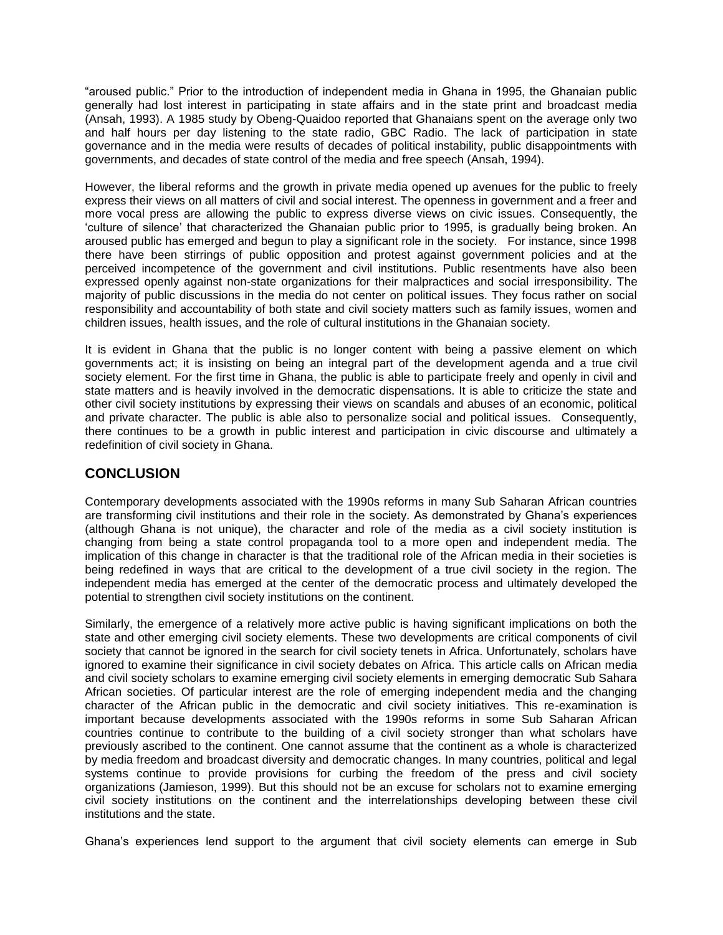"aroused public." Prior to the introduction of independent media in Ghana in 1995, the Ghanaian public generally had lost interest in participating in state affairs and in the state print and broadcast media (Ansah, 1993). A 1985 study by Obeng-Quaidoo reported that Ghanaians spent on the average only two and half hours per day listening to the state radio, GBC Radio. The lack of participation in state governance and in the media were results of decades of political instability, public disappointments with governments, and decades of state control of the media and free speech (Ansah, 1994).

However, the liberal reforms and the growth in private media opened up avenues for the public to freely express their views on all matters of civil and social interest. The openness in government and a freer and more vocal press are allowing the public to express diverse views on civic issues. Consequently, the 'culture of silence' that characterized the Ghanaian public prior to 1995, is gradually being broken. An aroused public has emerged and begun to play a significant role in the society. For instance, since 1998 there have been stirrings of public opposition and protest against government policies and at the perceived incompetence of the government and civil institutions. Public resentments have also been expressed openly against non-state organizations for their malpractices and social irresponsibility. The majority of public discussions in the media do not center on political issues. They focus rather on social responsibility and accountability of both state and civil society matters such as family issues, women and children issues, health issues, and the role of cultural institutions in the Ghanaian society.

It is evident in Ghana that the public is no longer content with being a passive element on which governments act; it is insisting on being an integral part of the development agenda and a true civil society element. For the first time in Ghana, the public is able to participate freely and openly in civil and state matters and is heavily involved in the democratic dispensations. It is able to criticize the state and other civil society institutions by expressing their views on scandals and abuses of an economic, political and private character. The public is able also to personalize social and political issues. Consequently, there continues to be a growth in public interest and participation in civic discourse and ultimately a redefinition of civil society in Ghana.

# **CONCLUSION**

Contemporary developments associated with the 1990s reforms in many Sub Saharan African countries are transforming civil institutions and their role in the society. As demonstrated by Ghana's experiences (although Ghana is not unique), the character and role of the media as a civil society institution is changing from being a state control propaganda tool to a more open and independent media. The implication of this change in character is that the traditional role of the African media in their societies is being redefined in ways that are critical to the development of a true civil society in the region. The independent media has emerged at the center of the democratic process and ultimately developed the potential to strengthen civil society institutions on the continent.

Similarly, the emergence of a relatively more active public is having significant implications on both the state and other emerging civil society elements. These two developments are critical components of civil society that cannot be ignored in the search for civil society tenets in Africa. Unfortunately, scholars have ignored to examine their significance in civil society debates on Africa. This article calls on African media and civil society scholars to examine emerging civil society elements in emerging democratic Sub Sahara African societies. Of particular interest are the role of emerging independent media and the changing character of the African public in the democratic and civil society initiatives. This re-examination is important because developments associated with the 1990s reforms in some Sub Saharan African countries continue to contribute to the building of a civil society stronger than what scholars have previously ascribed to the continent. One cannot assume that the continent as a whole is characterized by media freedom and broadcast diversity and democratic changes. In many countries, political and legal systems continue to provide provisions for curbing the freedom of the press and civil society organizations (Jamieson, 1999). But this should not be an excuse for scholars not to examine emerging civil society institutions on the continent and the interrelationships developing between these civil institutions and the state.

Ghana's experiences lend support to the argument that civil society elements can emerge in Sub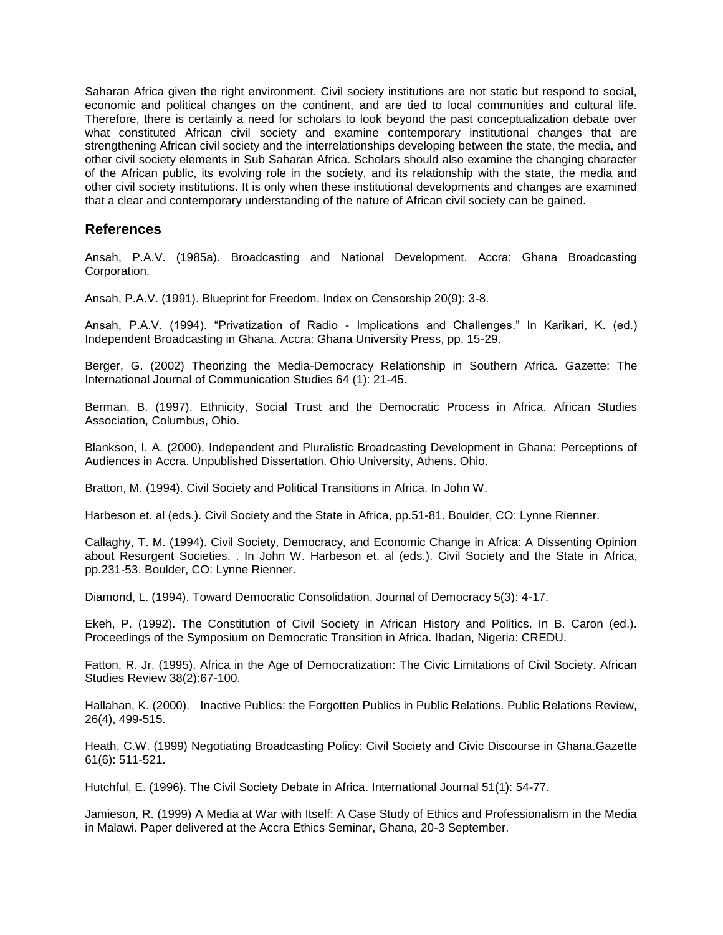Saharan Africa given the right environment. Civil society institutions are not static but respond to social, economic and political changes on the continent, and are tied to local communities and cultural life. Therefore, there is certainly a need for scholars to look beyond the past conceptualization debate over what constituted African civil society and examine contemporary institutional changes that are strengthening African civil society and the interrelationships developing between the state, the media, and other civil society elements in Sub Saharan Africa. Scholars should also examine the changing character of the African public, its evolving role in the society, and its relationship with the state, the media and other civil society institutions. It is only when these institutional developments and changes are examined that a clear and contemporary understanding of the nature of African civil society can be gained.

#### **References**

Ansah, P.A.V. (1985a). Broadcasting and National Development. Accra: Ghana Broadcasting Corporation.

Ansah, P.A.V. (1991). Blueprint for Freedom. Index on Censorship 20(9): 3-8.

Ansah, P.A.V. (1994). "Privatization of Radio - Implications and Challenges." In Karikari, K. (ed.) Independent Broadcasting in Ghana. Accra: Ghana University Press, pp. 15-29.

Berger, G. (2002) Theorizing the Media-Democracy Relationship in Southern Africa. Gazette: The International Journal of Communication Studies 64 (1): 21-45.

Berman, B. (1997). Ethnicity, Social Trust and the Democratic Process in Africa. African Studies Association, Columbus, Ohio.

Blankson, I. A. (2000). Independent and Pluralistic Broadcasting Development in Ghana: Perceptions of Audiences in Accra. Unpublished Dissertation. Ohio University, Athens. Ohio.

Bratton, M. (1994). Civil Society and Political Transitions in Africa. In John W.

Harbeson et. al (eds.). Civil Society and the State in Africa, pp.51-81. Boulder, CO: Lynne Rienner.

Callaghy, T. M. (1994). Civil Society, Democracy, and Economic Change in Africa: A Dissenting Opinion about Resurgent Societies. . In John W. Harbeson et. al (eds.). Civil Society and the State in Africa, pp.231-53. Boulder, CO: Lynne Rienner.

Diamond, L. (1994). Toward Democratic Consolidation. Journal of Democracy 5(3): 4-17.

Ekeh, P. (1992). The Constitution of Civil Society in African History and Politics. In B. Caron (ed.). Proceedings of the Symposium on Democratic Transition in Africa. Ibadan, Nigeria: CREDU.

Fatton, R. Jr. (1995). Africa in the Age of Democratization: The Civic Limitations of Civil Society. African Studies Review 38(2):67-100.

Hallahan, K. (2000). Inactive Publics: the Forgotten Publics in Public Relations. Public Relations Review, 26(4), 499-515.

Heath, C.W. (1999) Negotiating Broadcasting Policy: Civil Society and Civic Discourse in Ghana.Gazette 61(6): 511-521.

Hutchful, E. (1996). The Civil Society Debate in Africa. International Journal 51(1): 54-77.

Jamieson, R. (1999) A Media at War with Itself: A Case Study of Ethics and Professionalism in the Media in Malawi. Paper delivered at the Accra Ethics Seminar, Ghana, 20-3 September.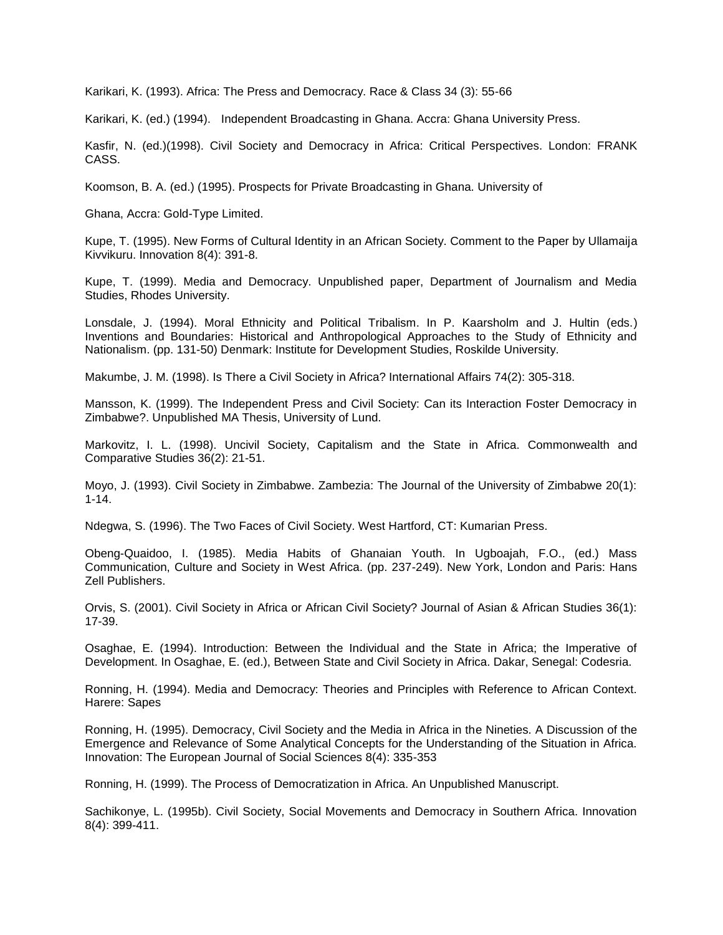Karikari, K. (1993). Africa: The Press and Democracy. Race & Class 34 (3): 55-66

Karikari, K. (ed.) (1994). Independent Broadcasting in Ghana. Accra: Ghana University Press.

Kasfir, N. (ed.)(1998). Civil Society and Democracy in Africa: Critical Perspectives. London: FRANK CASS.

Koomson, B. A. (ed.) (1995). Prospects for Private Broadcasting in Ghana. University of

Ghana, Accra: Gold-Type Limited.

Kupe, T. (1995). New Forms of Cultural Identity in an African Society. Comment to the Paper by Ullamaija Kivvikuru. Innovation 8(4): 391-8.

Kupe, T. (1999). Media and Democracy. Unpublished paper, Department of Journalism and Media Studies, Rhodes University.

Lonsdale, J. (1994). Moral Ethnicity and Political Tribalism. In P. Kaarsholm and J. Hultin (eds.) Inventions and Boundaries: Historical and Anthropological Approaches to the Study of Ethnicity and Nationalism. (pp. 131-50) Denmark: Institute for Development Studies, Roskilde University.

Makumbe, J. M. (1998). Is There a Civil Society in Africa? International Affairs 74(2): 305-318.

Mansson, K. (1999). The Independent Press and Civil Society: Can its Interaction Foster Democracy in Zimbabwe?. Unpublished MA Thesis, University of Lund.

Markovitz, I. L. (1998). Uncivil Society, Capitalism and the State in Africa. Commonwealth and Comparative Studies 36(2): 21-51.

Moyo, J. (1993). Civil Society in Zimbabwe. Zambezia: The Journal of the University of Zimbabwe 20(1): 1-14.

Ndegwa, S. (1996). The Two Faces of Civil Society. West Hartford, CT: Kumarian Press.

Obeng-Quaidoo, I. (1985). Media Habits of Ghanaian Youth. In Ugboajah, F.O., (ed.) Mass Communication, Culture and Society in West Africa. (pp. 237-249). New York, London and Paris: Hans Zell Publishers.

Orvis, S. (2001). Civil Society in Africa or African Civil Society? Journal of Asian & African Studies 36(1): 17-39.

Osaghae, E. (1994). Introduction: Between the Individual and the State in Africa; the Imperative of Development. In Osaghae, E. (ed.), Between State and Civil Society in Africa. Dakar, Senegal: Codesria.

Ronning, H. (1994). Media and Democracy: Theories and Principles with Reference to African Context. Harere: Sapes

Ronning, H. (1995). Democracy, Civil Society and the Media in Africa in the Nineties. A Discussion of the Emergence and Relevance of Some Analytical Concepts for the Understanding of the Situation in Africa. Innovation: The European Journal of Social Sciences 8(4): 335-353

Ronning, H. (1999). The Process of Democratization in Africa. An Unpublished Manuscript.

Sachikonye, L. (1995b). Civil Society, Social Movements and Democracy in Southern Africa. Innovation 8(4): 399-411.